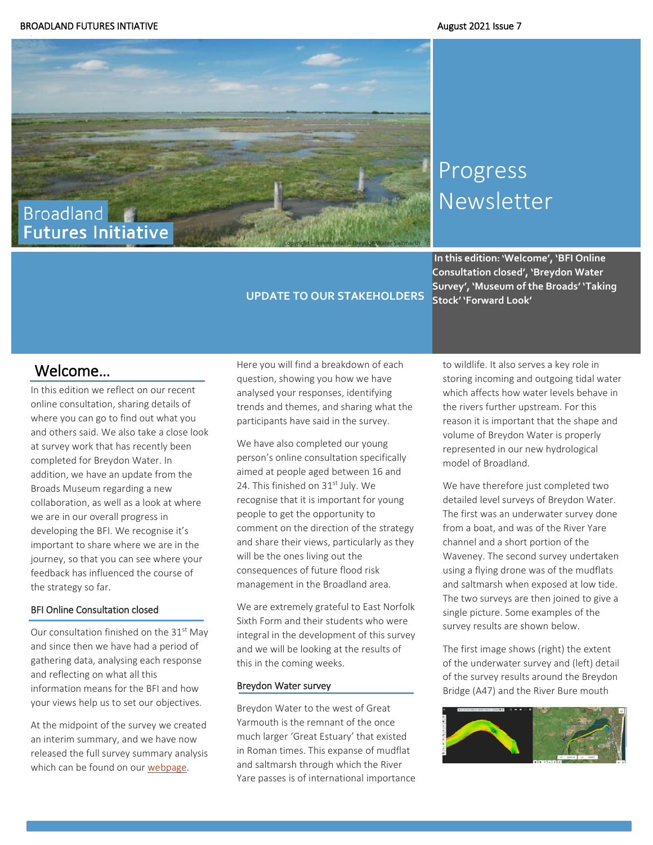

# Progress **Newsletter**

**In this edition: 'Welcome', 'BFI Online Consultation closed', 'Breydon Water Survey', 'Museum of the Broads' 'Taking Stock' 'Forward Look'**

# Welcome…

In this edition we reflect on our recent online consultation, sharing details of where you can go to find out what you and others said. We also take a close look at survey work that has recently been completed for Breydon Water. In addition, we have an update from the Broads Museum regarding a new collaboration, as well as a look at where we are in our overall progress in developing the BFI. We recognise it's important to share where we are in the journey, so that you can see where your feedback has influenced the course of the strategy so far.

## BFI Online Consultation closed

Our consultation finished on the 31<sup>st</sup> May and since then we have had a period of gathering data, analysing each response and reflecting on what all this information means for the BFI and how your views help us to set our objectives.

At the midpoint of the survey we created an interim summary, and we have now released the full survey summary analysis which can be found on ou[r webpage.](https://www.broads-authority.gov.uk/looking-after/climate-change/broadland-futures-initiative)

Here you will find a breakdown of each question, showing you how we have analysed your responses, identifying trends and themes, and sharing what the participants have said in the survey.

**UPDATE TO OUR STAKEHOLDERS** 

We have also completed our young person's online consultation specifically aimed at people aged between 16 and 24. This finished on 31<sup>st</sup> July. We recognise that it is important for young people to get the opportunity to comment on the direction of the strategy and share their views, particularly as they will be the ones living out the consequences of future flood risk management in the Broadland area.

We are extremely grateful to East Norfolk Sixth Form and their students who were integral in the development of this survey and we will be looking at the results of this in the coming weeks.

### Breydon Water survey

Breydon Water to the west of Great Yarmouth is the remnant of the once much larger 'Great Estuary' that existed in Roman times. This expanse of mudflat and saltmarsh through which the River Yare passes is of international importance to wildlife. It also serves a key role in storing incoming and outgoing tidal water which affects how water levels behave in the rivers further upstream. For this reason it is important that the shape and volume of Breydon Water is properly represented in our new hydrological model of Broadland.

We have therefore just completed two detailed level surveys of Breydon Water. The first was an underwater survey done from a boat, and was of the River Yare channel and a short portion of the Waveney. The second survey undertaken using a flying drone was of the mudflats and saltmarsh when exposed at low tide. The two surveys are then joined to give a single picture. Some examples of the survey results are shown below.

The first image shows (right) the extent of the underwater survey and (left) detail of the survey results around the Breydon Bridge (A47) and the River Bure mouth